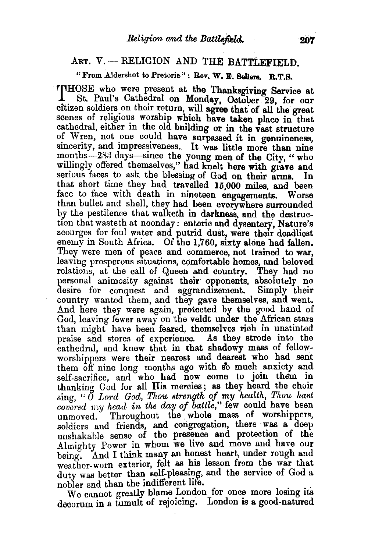## ART. V. - RELIGION AND THE BATTLEFIELD.

## "From Aldershot to Pretoria": Rev. W. E. Sellers. B.T.S.

THOSE who were present at the Thanksgiving Service at . St. Pa\_ul's Cathe~ral on M?nday, October. 29, for our citizen soldiers on their return, will agree that of all the great scenes of religious worship which have taken place in that cathedral, either in the old building or in the vast structure of Wren, not one could have surpassed it in genuineness, sincerity, and impressiveness. It was little more than nine months-283 days-since the young men of the City, " who willingly offered themselves," had knelt here with grave and serious faces to ask the blessing of God on their arms. In that short time they had travelled 15,000 miles, and been face to face with death in nineteen engagements. Worse than bullet and shell, they had been everywhere surrounded by the pestilence that walketh in darkness, and the destruction that wasteth at noonday: enteric and dysentery, Nature's scourges for foul water and putrid dust, were their deadliest enemy in South Africa. Of the 1,760, sixty alone had fallen. They were men of peace and commerce, not trained to war, leaving prosperous situations, comfortable homes, and beloved relations, at the call of Queen and country. They had no personal animosity against their opponents, absolutely no desire for conquest and aggrandizement. Simply their country wanted them, and they gave themselves, and went. And here they were again, protected by the good hand of God, leaving fewer away on 'the veldt under the African stars than might have been feared, themselves rich in unstinted praise and stores of experience. As they strode into the cathedral, and knew that in that shadowy mass of fellowworshippers were their nearest and dearest who had sent them off nine long months ago with so much anxiety and self-sacrifice, and who had now come to join them in thanking God for all His mercies; as they heard the choir sing, "  $\bar{O}$  Lord God, Thou strength of my health, Thou hast covered my head in the day of battle," few could have been unmoved. Throughout the whole mass of worshippers, soldiers and friends, and congregation, there was a deep unshakable sense of the presence and protection of the Almighty Power in whom we live and move and have our being. And I think many an honest heart, under rough and weather-worn exterior, felt as his lesson from the war that duty was better than self-pleasing, and the service of God a

We cannot greatly blame London for once more losing its decorum in a tumult of rejoicing. London is a good-natured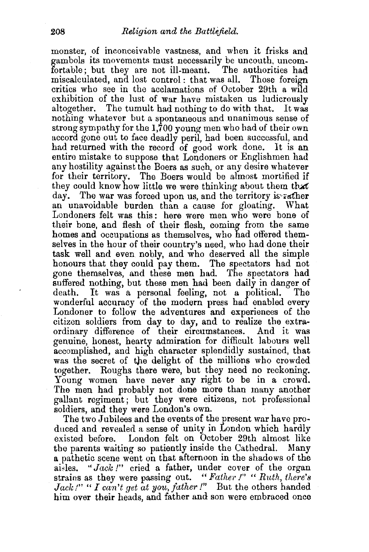monster, of inconceivable vastness, and when it frisks and gambols its movements must necessarily be uncouth, uncomfortable; but they are not ill-meant. The authorities had miscalculated, and lost control : that was all. Those foreign critics who see in the acclamations of October 29th a wild exhibition of the lust of war have mistaken us ludicrously altogether. The tumult had nothing to do with that. It was nothing whatever but a spontaneous and unanimous sense of strong sympathy for the 1,700 young men who had of their own accord gone out to face deadly peril, had been successful, and had returned with the record of good work done. It is an entire mistake to suppose that Londoners or Englishmen had any hostility against the Boers as such, or any desire whatever for their territory. The Boers would be almost mortified if they could know how little we were thinking about them that day. The war was forced upon us, and the territory is rather an unavoidable burden than a cause for gloating. What Londoners felt was this: here were men who were bone of their bone, and flesh of their flesh, coming from the same homes and occupations as themselves, who had offered themselves in the hour of their country's need, who had done their task well and even. nobly, and who deserved all the simple honours that they could pay them. The spectators had not gone themselves, and these men had. The spectators had suffered nothing, but these men had been daily in danger of death. It was a personal feeling, not a political. The wonderful accuracy of the modern press had enabled every Londoner to follow the adventures and experiences of the citizen soldiers from day to day, and to realize the extraordinary difference of their circumstances. And it was genuine, honest, hearty admiration for difficult labours well accomplished, and high character splendidly sustained, that was the secret of the delight of the millions who crowded together. Roughs there were, but they need no reckoning. Young women have never any right to be in a crowd. The men had probably not done more than many another gallant regiment; but they were citizens, not professional soldiers, and they were London's own.

The two Jubilees and the events of the present war have produced and revealed a sense of unity in London which hardly existed before. London felt on October 29th almost like the parents waiting so patiently inside the Cathedral. Many a pathetic scene went on that afternoon in the shadows of the aisles. "Jack!" cried a father, under cover of the organ strains as they were passing out. "Father!" "Ruth, there's Jack !" " I can't get at you, father!" But the others handed him over their heads, and father and son were embraced once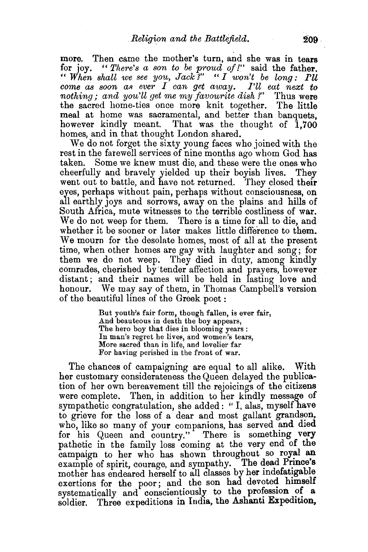more. Then came the mother's turn, and she was in tears for joy. *"There's a son to be proud of!"* said the father. " *When shall we see you, Jack ?"* " *I won't be long : I'll*   $come$  as soon as ever  $I$  can get away. I'll eat next to *nothing; and you'll get me my favourite dish?"* Thus were the sacred home-ties once more knit together. The little meal at home was sacramental, and better than banquets, however kindly meant. That was the thought of 1,700 homes, and in that thought London shared.

We do not forget the sixty young faces who joined with the rest in the farewell services of nine months ago whom God has taken. Some we knew must die, and these were the ones who cheerfully and bravely yielded up their boyish lives. They went out to battle, and have not returned. They closed their eyes, perhaps without pain, perhaps without consciousness, on all earthly joys and sorrows, away on the plains and hills of South Africa, mute witnesses to the terrible costliness of war. We do not weep for them. There is a time for all to die, and whether it be sooner or later makes little difference to them. We mourn for the desolate homes, most of all at the present time, when other homes are gay with laughter and song; for them we do not weep. They died in duty, among kindly comrades, cherished by tender affection and prayers, however distant; and their names will be held in lasting love and honour. We may say of them, in Thomas Campbell's version of the beautiful lines of the Greek poet :

> But youth's fair form, though fallen, is ever fair, And beauteous in death the boy appears, The hero boy that dies in blooming years : In man's regret he lives, and women's tears, More sacred than in life, and lovelier far For having perished in the front of war.

The chances of campaigning are equal to all alike. With her customary considerateness the Queen delayed the publication of her own bereavement till the rejoicings of the citizens were complete. Then, in addition to her kindly message of sympathetic congratulation, she added: " I, alas, myself have to grieve for the loss of a dear and most gallant grandson, who, like so many of your companions, has served and died for his Queen and country." There is something very pathetic in the family loss coming at the very end of the campaign to her who has shown throughout so royal an example of spirit, courage, and sympathy. The dead Prince's mother has endeared herself to all classes by her mdefattgable exertions for the poor; and the son had devoted himself systematically and conscientiously to the profession of a soldier. Three expeditions in India, the Ashanti Expedition,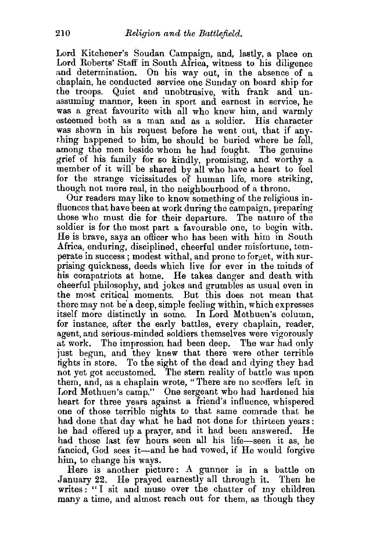Lord Kitchener's Soudan Campaign, and, lastly, a place on Lord Roberts' Staff' in South Africa, witness to his diligence and determination. On his way out, in the absence of a chaplain, he conducted service one Sunday on board ship for the troops. Quiet and unobtrusive, with frank and unassuming manner, keen in sport and earnest in service, he was a great favourite with all who knew him, and warmly esteemed both as a man and as a soldier. His character was shown in his reguest before he went out, that if anything happened to him, he should be buried where he fell, among the men beside whom he had fought. The genuine grief of his family for so kindly, promising, and worthy a member of it will be shared by all who have a heart to feel for the strange vicissitudes of human life, more striking, though not more real, in the neighbourhood of a throne.

Our readers may like to know something of the religious influences that have been at work during the campaign, preparing those who must die for their departure. The nature of the soldier is for the most part a favourable one, to begin with. He is brave, says an ofiicer who has been with him in South Africa, enduring, disciplined, cheerful under misfortune, temperate in success; modest withal, and prone to forget, with surprising quickness, deeds which live for ever in the minds of his compatriots at home. He takes danger and death with cheerful philosophy, and jokes and grumbles as usual even in the most critical moments. But this does not mean that there may not be' a deep, simple feeling within, which expresses itself more distinctly in some. In Lord Methuen's column, for instance, after the early battles, every chaplain, reader, agent, and serious-minded soldiers themselves were vigorously at work. The impression had been deep. The war had only just begun, and they knew that there were other terrible tights in store. To the sight of the dead and dying they had not yet got accustomed. The stern reality of battle was upon them, and, as a chaplain wrote, "There are no scoffers left in Lord Methuen's camp." One sergeant who had hardened his heart for three years against a friend's influence, whispered one of those terrible nights to that same comrade that he had done that day what he had not done for thirteen years: he had offered up a prayer, and it had been answered. He had those last few hours seen all his life-seen it as, he fancied, God sees it—and he had vowed, if He would forgive him, to change his ways.

Here is another picture: A gunner is in a battle on January 22. He prayed earnestly all through it. Then he writes: "I sit and muse over the chatter of my children many a time, and almost reach out for them, as though they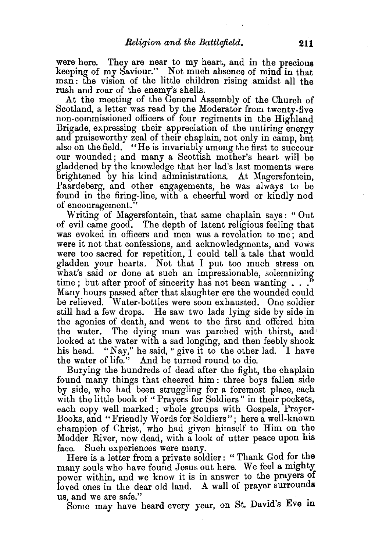were here. They are near to my heart, and in the precious keeping of my Saviour." Not much absence of mind in that man: the vision of the little children rising amidst all the rush and roar of the enemy's shells.

At the meeting of the General Assembly of the Church of Scotland, a letter was read by the Moderator from twenty-five non-commissioned officers of four regiments in the Highland Brigade, expressing their appreciation of the untiring energy and praiseworthy zeal of their chaplain, not only in camp, but also on the field. "He is invariably among the first to succour our wounded; and many a Scottish mother's heart will be gladdened by the knowledge that her lad's last moments were brightened by his kind administrations. At Magersfontein, Paardeberg, and other engagements, he was always to be found in the firing-line, with a cheerful word or kindly nod of encouragement."

Writing of Magersfontein, that same chaplain says: "Out of evil came good. The depth of latent religious feeling that was evoked in officers and men was a revelation to me ; and were it not that confessions, and acknowledgments, and vows were too sacred for repetition, I could tell a tale that would gladden your hearts. Not that I put too much stress on what's said or done at such an impressionable, solemnizing time ; but after proof of sincerity has not been wanting  $\ldots$ . Many hours passed after that slaughter ere the wounded could be relieved. Water-bottles were soon exhausted. One soldier still had a few drops. He saw two lads lying side by side in the agonies of death, and went to the first and offered him the water. The dying man was parched with thirst, and looked at the water with a sad longing, and then feebly shook his head. "Nay," he said, "give it to the other lad. I have the water of life." And he turned round to die.

Burying the hundreds of dead after the fight, the chaplain found many things that cheered him : three boys fallen side by side, who had been struggling for a foremost place, each with the little book of "Prayers for Soldiers" in their pockets, each copy well marked; whole groups with Gospels, Prayer-Books, and "Friendly Words for Soldiers"; here a well-known champion of Christ, who had given himself to Him on the Modder River, now dead, with a look of utter peace upon his face. Such experiences were many.

Here is a letter from a private soldier: " Thank God for the many souls who have found Jesus out here. We feel a mighty power within, and we know it is in answer to the prayers of loved ones in the dear old land. A wall of prayer surrounds

us, and we are safe." . Some may have heard every year, on St. David's Eve in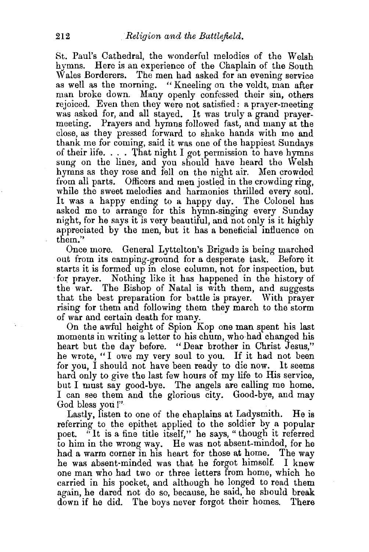St. Paul's Cathedral, the wonderful melodies of the Welsh hymns. Here is an experience of the Chaplain of the South Wales Borderers. The men had asked for an evening service as well as the morning. "Kneeling on the veldt, man after man broke down. Many openly confessed their sin, others rejoiced. Even then they were not satisfied: a prayer-meeting was asked for, and all stayed. It was truly a grand prayermeeting. Prayers and hymns followed fast, and many at the close, as they pressed forward to shake hands with me and thank me for coming, said it was one of the happiest Sundays of their life.... That night I got permission to have hymns sung on the lines, and you should have heard the Welsh hymns as they rose and fell on the night air. Men crowded from all parts. Officers and men jostled in the crowding ring, while the sweet melodies and harmonies thrilled every soul. It was a happy ending to a happy day. The Colonel has asked me to arrange for this hymn-singing every Sunday night, for he says it is very beautiful, and not only is it highly appreciated by the men, but it has a beneficial influence on them."

Once. more. General Lyttelton's Brigada is being marched out from its camping-ground for a desperate task. Before it starts it is formed up in close column, not for inspection, but for prayer. Nothing like it has happened in the history of the war. The Bishop of Natal is with them, and suggests that the best preparation for battle is prayer. With prayer rising for them and following them they march to the storm of war and certain death for many.

On the awful height of Spion Kop one man spent his last moments in writing a letter to his chum, who had changed his heart but the day before. "Dear brother in Christ Jesus," he wrote, "I owe my very soul to you. If it had not been for you, I should not have been ready to die now. It seems hard only to give the last few hours of my life to His service, but I must say good-bye. The angels are calling me home. I can see them and the glorious city. Good-bye, and may God bless you !"

Lastly, listen to one of the chaplains at Ladysmith. He is referring to the epithet applied to the soldier by a popular poet. "It is a fine title itself," he says, "though it referred to him in the wrong way. He was not absent-minded, for he had a warm corner in his heart for those at home. The way he was absent-minded was that he forgot himself. I knew one man who had two or three letters from home, which he carried in his pocket, and although he longed to read them again, he dared not do so, because, he said, he should break down if he did. The boys never forgot their homes. There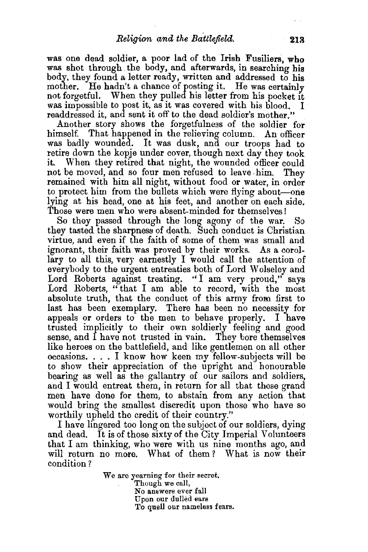was one dead soldier, a poor lad of the Irish Fusiliers, who was shot through the body, and afterwards, in searching his body, they found a letter ready, written and addressed to his mother. He hadn't a chance of posting it. He was certainly not forgetful. When they pulled his letter from his pocket it was impossible to post it, as it was covered with his blood. readdressed it, and sent it off to the dead soldier's mother."

Another story shows the forgetfulness of the soldier for himself. That happened in the relieving column. An officer was badly wounded. It was dusk, and our troops had to retire down the kopje under cover, though next day they took it. When they retired that night, the wounded officer could not be moved, and so four men refused to leave him. remained with him all night, without food or water, in order to protect him from the bullets which were flying about—one lying at his head, one at his feet, and another on each side. Those were men who were absent-minded for themselves!

So they passed through the long agony of the war. So they tasted the sharpness of death. Such conduct is Christian virtue, and even if the faith of some of them was small and ignorant, their faith was proved by their works. As a corollary to all this, very earnestly I would call the attention of everybody to the urgent entreaties both of Lord Wolseley and Lord Roberts against treating. "I am very proud," says Lord Roberts, "that I am able to record, with the most absolute truth, that the conduct of this army from first to last has been exemplary. There has been no necessity for appeals or orders to the men to behave properly. I have trusted implicitly to their own soldierly feeling and good sense, and I have not trusted in vain. They bore themselves like heroes on the battlefield, and like gentlemen on all other occasions. . . . I know how keen my fellow-subjects will be to show their appreciation of the upright and honourable bearing as well as the gallantry of our sailors and soldiers, and I would entreat them, in return for all that these grand men have done for them, to abstain from any action that would bring the smallest discredit upon those who have so worthily upheld the credit of their country.''

I have lingered too long on the subject of our soldiers, dying and dead. It is of those sixty of the City Imperial Volunteers that I am thinking, who were with us nine months ago, and will return no more. What of them *?* What is now their condition?

> We are yearning for their secret. Though we call, No answers ever fall Upon our dulled ears<br>To quell our nameless fears.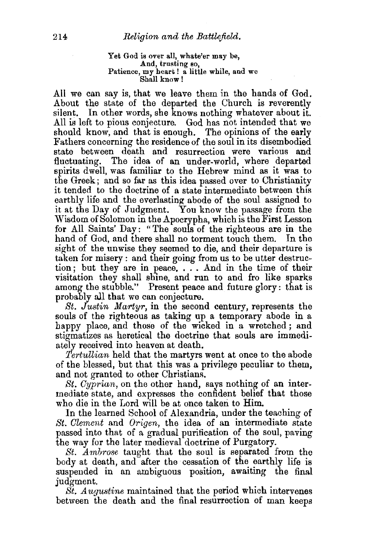## Yet God is over all, whate'er may be, And, trusting so, Patience, my heart! a little while, and we<br>Shall know!

All we can say is, that we leave them in the hands of God. About the state of the departed the Church is reverently silent. In other words, she knows nothing whatever about it. All is left to pious conjecture. God has not intended that we should know, and that is enough. The opinions of the early Fathers concerning the residence of the soul in its disembodied state between death and resurrection were various and fluctuating. The idea of an under-world, where departed spirits dwell, was familiar to the Hebrew mind as it was to the Greek; and so far as this idea passed over to Christianity it tended to the doctrine of a state intermediate between this earthly life and the everlasting abode of the soul assigned to it at the Day of Judgment. You know the passage from the Wisdom of Solomon in the Apocrypha, which is the First Lesson for All Saints' Day: "The souls of the righteous are in the hand of God, and there shall no torment touch them. In the sight of the unwise they seemed to die, and their departure is taken for misery : and their going from us to be utter destruction; but they are in peace, . . . And in the time of their visitation they shall shine, and run to and fro like sparks among the stubble." Present peace and future glory: that is probably all that we can conjecture.

*St. Justin Martyr,* in the second century, represents the souls of the righteous as taking up a temporary abode in a happy place, and those of the wicked in a wretched; and stigmatizes as heretical the doctrine that souls are immediately received into heaven at death.

*Tertullian* held that the martyrs went at once to the abode of the blessed, but that this was a privilege peculiar to them, and not granted to other Christians.

*St. Cyprian,* on the other hand, says nothing of an intermediate state, and expresses the confident belief that those who die in the Lord will be at once taken to Him.

In the learned School of Alexandria, under the teaching of *St. Clement* and *Origen,* the idea of an intermediate state passed into that of a gradual purification of the soul, paving the way for the later medieval doctrine of Purgatory.

*St. Ambrose* taught that the soul is separated from the body at death, and after the cessation of the earthly life is suspended in an ambiguous position, awaiting the final judgment.

*St. Augustine* maintained that the period which intervenes between the death and the final resurrection of man keeps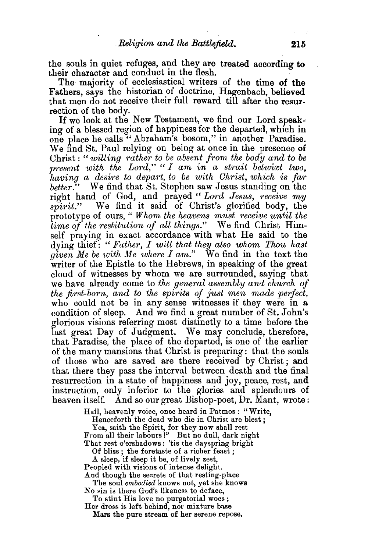the souls in quiet refuges, and they are treated according to their character and conduct in the flesh.

The majority of ecclesiastical writers of the time of the Fathers, says the historian of doctrine, Hagenbach, believed that men do not receive their full reward till after the resurrection of the body. If we look at the New Testament, we find our Lord speak-

ing of a blessed region of happiness for the departed, which in one place he calls "Abraham's bosom," in another Paradise. We find St. Paul relying on being at once in the presence of Christ : " *willing rather to be absent from the body and to be present with the Lord," "I am in a strait betwixt two. having a desire to depart, to be with Christ, which is far better."* We find that St. Stephen saw Jesus standing on the right hand of God, and prayed *"Lord Jesus, receive my spirit.*" We find it said of Christ's glorified body, the prototype of ours, " *Whom the heavens must receive until the time of the restitution of all things."* We find Christ Himself praying in exact accordance with what He said to the dying thief: *"Father, I will that they also whom Thou hast given Me be with Me where I am."* We find in the text the writer of the Epistle to the Hebrews, in speaking of the great cloud of witnesses by whom we are surrounded, saying that we have already come to *the general assembly and church of the first-born, and to the spirits of just men made perfect,*  who could not be in any sense witnesses if they were in a condition of sleep. And we find a great number of St. John's glorious visions referring most distinctly to a time before the last great Day of Judgment. We may conclude, therefore, that Paradise, the place of the departed, is one of the earlier of the many mansions that Christ is preparing: that the souls of those who are saved are there received by Christ; and that there they pass the interval between death and the final resurrection in a state of happiness and joy, peace, rest, and instruction, only inferior to the glories and splendours of heaven itself. And so our great Bishop-poet, Dr. Mant, wrote:

Hail, heavenly voice, once heard in Patmos : "Write,

Henceforth the dead who die in Christ are blest ;

Yea, saith the Spirit, for they now shall rest From all their labours!" But no dull, dark night That rest o'ershadows: 'tis the dayspring bright

Of bliss ; the foretaste of a richer feast ;

A sleep, if sleep it be, of lively zest,

Propled with visions of intense delight. And though the secrets of that resting-place

The soul *embodied* knows not, yet she knows No sin is there God's likeness to deface,

To stint His love no purgatorial woes; Her dross is left behind, nor mixture base

Mars the pure stream of her serene repose.